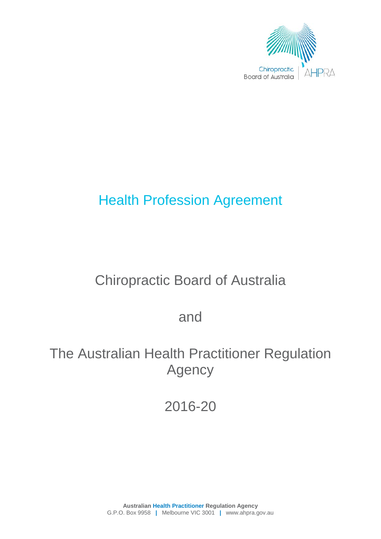

# Health Profession Agreement

# Chiropractic Board of Australia

and

# The Australian Health Practitioner Regulation Agency

2016-20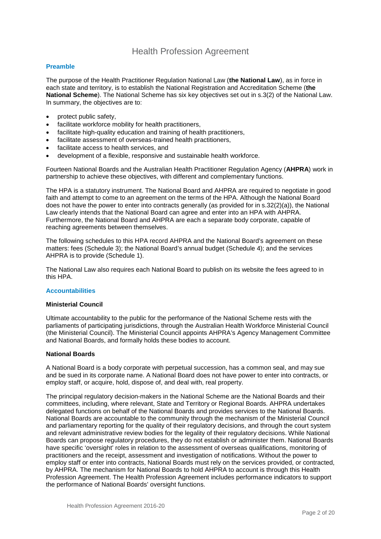## Health Profession Agreement

## **Preamble**

The purpose of the Health Practitioner Regulation National Law (**the National Law**), as in force in each state and territory, is to establish the National Registration and Accreditation Scheme (**the National Scheme**). The National Scheme has six key objectives set out in s.3(2) of the National Law. In summary, the objectives are to:

- protect public safety,
- facilitate workforce mobility for health practitioners,
- facilitate high-quality education and training of health practitioners,
- facilitate assessment of overseas-trained health practitioners,
- facilitate access to health services, and
- development of a flexible, responsive and sustainable health workforce.

Fourteen National Boards and the Australian Health Practitioner Regulation Agency (**AHPRA**) work in partnership to achieve these objectives, with different and complementary functions.

The HPA is a statutory instrument. The National Board and AHPRA are required to negotiate in good faith and attempt to come to an agreement on the terms of the HPA. Although the National Board does not have the power to enter into contracts generally (as provided for in s.32(2)(a)), the National Law clearly intends that the National Board can agree and enter into an HPA with AHPRA. Furthermore, the National Board and AHPRA are each a separate body corporate, capable of reaching agreements between themselves.

The following schedules to this HPA record AHPRA and the National Board's agreement on these matters: fees (Schedule 3); the National Board's annual budget (Schedule 4); and the services AHPRA is to provide (Schedule 1).

The National Law also requires each National Board to publish on its website the fees agreed to in this HPA.

#### **Accountabilities**

#### **Ministerial Council**

Ultimate accountability to the public for the performance of the National Scheme rests with the parliaments of participating jurisdictions, through the Australian Health Workforce Ministerial Council (the Ministerial Council). The Ministerial Council appoints AHPRA's Agency Management Committee and National Boards, and formally holds these bodies to account.

#### **National Boards**

A National Board is a body corporate with perpetual succession, has a common seal, and may sue and be sued in its corporate name. A National Board does not have power to enter into contracts, or employ staff, or acquire, hold, dispose of, and deal with, real property.

The principal regulatory decision-makers in the National Scheme are the National Boards and their committees, including, where relevant, State and Territory or Regional Boards. AHPRA undertakes delegated functions on behalf of the National Boards and provides services to the National Boards. National Boards are accountable to the community through the mechanism of the Ministerial Council and parliamentary reporting for the quality of their regulatory decisions, and through the court system and relevant administrative review bodies for the legality of their regulatory decisions. While National Boards can propose regulatory procedures, they do not establish or administer them. National Boards have specific 'oversight' roles in relation to the assessment of overseas qualifications, monitoring of practitioners and the receipt, assessment and investigation of notifications. Without the power to employ staff or enter into contracts, National Boards must rely on the services provided, or contracted, by AHPRA. The mechanism for National Boards to hold AHPRA to account is through this Health Profession Agreement. The Health Profession Agreement includes performance indicators to support the performance of National Boards' oversight functions.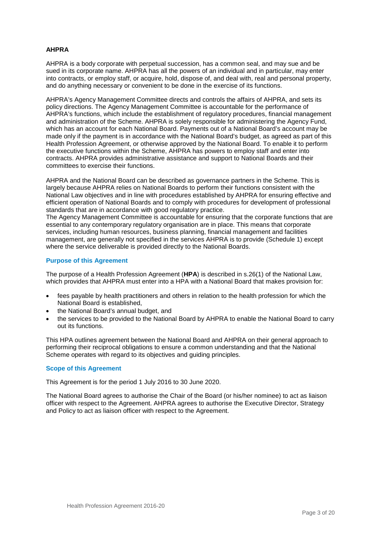## **AHPRA**

AHPRA is a body corporate with perpetual succession, has a common seal, and may sue and be sued in its corporate name. AHPRA has all the powers of an individual and in particular, may enter into contracts, or employ staff, or acquire, hold, dispose of, and deal with, real and personal property, and do anything necessary or convenient to be done in the exercise of its functions.

AHPRA's Agency Management Committee directs and controls the affairs of AHPRA, and sets its policy directions. The Agency Management Committee is accountable for the performance of AHPRA's functions, which include the establishment of regulatory procedures, financial management and administration of the Scheme. AHPRA is solely responsible for administering the Agency Fund, which has an account for each National Board. Payments out of a National Board's account may be made only if the payment is in accordance with the National Board's budget, as agreed as part of this Health Profession Agreement, or otherwise approved by the National Board. To enable it to perform the executive functions within the Scheme, AHPRA has powers to employ staff and enter into contracts. AHPRA provides administrative assistance and support to National Boards and their committees to exercise their functions.

AHPRA and the National Board can be described as governance partners in the Scheme. This is largely because AHPRA relies on National Boards to perform their functions consistent with the National Law objectives and in line with procedures established by AHPRA for ensuring effective and efficient operation of National Boards and to comply with procedures for development of professional standards that are in accordance with good regulatory practice.

The Agency Management Committee is accountable for ensuring that the corporate functions that are essential to any contemporary regulatory organisation are in place. This means that corporate services, including human resources, business planning, financial management and facilities management, are generally not specified in the services AHPRA is to provide (Schedule 1) except where the service deliverable is provided directly to the National Boards.

#### **Purpose of this Agreement**

The purpose of a Health Profession Agreement (**HPA**) is described in s.26(1) of the National Law, which provides that AHPRA must enter into a HPA with a National Board that makes provision for:

- fees payable by health practitioners and others in relation to the health profession for which the National Board is established,
- the National Board's annual budget, and
- the services to be provided to the National Board by AHPRA to enable the National Board to carry out its functions.

This HPA outlines agreement between the National Board and AHPRA on their general approach to performing their reciprocal obligations to ensure a common understanding and that the National Scheme operates with regard to its objectives and guiding principles.

#### **Scope of this Agreement**

This Agreement is for the period 1 July 2016 to 30 June 2020.

The National Board agrees to authorise the Chair of the Board (or his/her nominee) to act as liaison officer with respect to the Agreement. AHPRA agrees to authorise the Executive Director, Strategy and Policy to act as liaison officer with respect to the Agreement.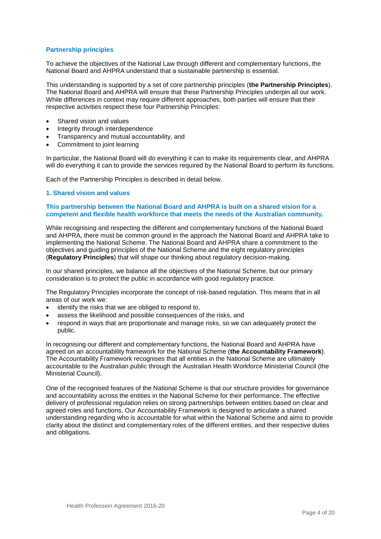## **Partnership principles**

To achieve the objectives of the National Law through different and complementary functions, the National Board and AHPRA understand that a sustainable partnership is essential.

This understanding is supported by a set of core partnership principles (**the Partnership Principles**). The National Board and AHPRA will ensure that these Partnership Principles underpin all our work. While differences in context may require different approaches, both parties will ensure that their respective activities respect these four Partnership Principles:

- Shared vision and values
- Integrity through interdependence
- Transparency and mutual accountability, and
- Commitment to joint learning

In particular, the National Board will do everything it can to make its requirements clear, and AHPRA will do everything it can to provide the services required by the National Board to perform its functions.

Each of the Partnership Principles is described in detail below.

#### **1. Shared vision and values**

#### **This partnership between the National Board and AHPRA is built on a shared vision for a competent and flexible health workforce that meets the needs of the Australian community.**

While recognising and respecting the different and complementary functions of the National Board and AHPRA, there must be common ground in the approach the National Board and AHPRA take to implementing the National Scheme. The National Board and AHPRA share a commitment to the objectives and guiding principles of the National Scheme and the eight regulatory principles (**Regulatory Principles**) that will shape our thinking about regulatory decision-making.

In our shared principles, we balance all the objectives of the National Scheme, but our primary consideration is to protect the public in accordance with good regulatory practice.

The Regulatory Principles incorporate the concept of risk-based regulation. This means that in all areas of our work we:

- identify the risks that we are obliged to respond to,
- assess the likelihood and possible consequences of the risks, and
- respond in ways that are proportionate and manage risks, so we can adequately protect the public.

In recognising our different and complementary functions, the National Board and AHPRA have agreed on an accountability framework for the National Scheme (**the Accountability Framework**). The Accountability Framework recognises that all entities in the National Scheme are ultimately accountable to the Australian public through the Australian Health Workforce Ministerial Council (the Ministerial Council).

One of the recognised features of the National Scheme is that our structure provides for governance and accountability across the entities in the National Scheme for their performance. The effective delivery of professional regulation relies on strong partnerships between entities based on clear and agreed roles and functions. Our Accountability Framework is designed to articulate a shared understanding regarding who is accountable for what within the National Scheme and aims to provide clarity about the distinct and complementary roles of the different entities, and their respective duties and obligations.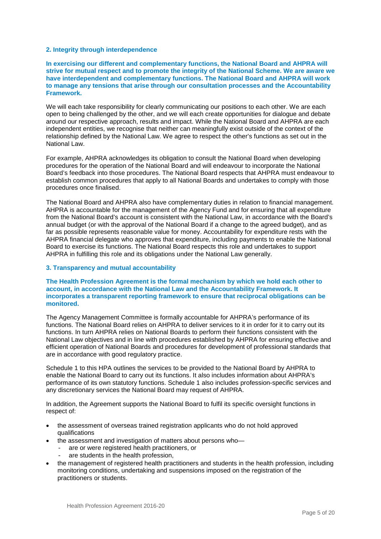#### **2. Integrity through interdependence**

**In exercising our different and complementary functions, the National Board and AHPRA will strive for mutual respect and to promote the integrity of the National Scheme. We are aware we have interdependent and complementary functions. The National Board and AHPRA will work to manage any tensions that arise through our consultation processes and the Accountability Framework.** 

We will each take responsibility for clearly communicating our positions to each other. We are each open to being challenged by the other, and we will each create opportunities for dialogue and debate around our respective approach, results and impact. While the National Board and AHPRA are each independent entities, we recognise that neither can meaningfully exist outside of the context of the relationship defined by the National Law. We agree to respect the other's functions as set out in the National Law.

For example, AHPRA acknowledges its obligation to consult the National Board when developing procedures for the operation of the National Board and will endeavour to incorporate the National Board's feedback into those procedures. The National Board respects that AHPRA must endeavour to establish common procedures that apply to all National Boards and undertakes to comply with those procedures once finalised.

The National Board and AHPRA also have complementary duties in relation to financial management. AHPRA is accountable for the management of the Agency Fund and for ensuring that all expenditure from the National Board's account is consistent with the National Law, in accordance with the Board's annual budget (or with the approval of the National Board if a change to the agreed budget), and as far as possible represents reasonable value for money. Accountability for expenditure rests with the AHPRA financial delegate who approves that expenditure, including payments to enable the National Board to exercise its functions. The National Board respects this role and undertakes to support AHPRA in fulfilling this role and its obligations under the National Law generally.

#### **3. Transparency and mutual accountability**

#### **The Health Profession Agreement is the formal mechanism by which we hold each other to account, in accordance with the National Law and the Accountability Framework. It incorporates a transparent reporting framework to ensure that reciprocal obligations can be monitored.**

The Agency Management Committee is formally accountable for AHPRA's performance of its functions. The National Board relies on AHPRA to deliver services to it in order for it to carry out its functions. In turn AHPRA relies on National Boards to perform their functions consistent with the National Law objectives and in line with procedures established by AHPRA for ensuring effective and efficient operation of National Boards and procedures for development of professional standards that are in accordance with good regulatory practice.

Schedule 1 to this HPA outlines the services to be provided to the National Board by AHPRA to enable the National Board to carry out its functions. It also includes information about AHPRA's performance of its own statutory functions. Schedule 1 also includes profession-specific services and any discretionary services the National Board may request of AHPRA.

In addition, the Agreement supports the National Board to fulfil its specific oversight functions in respect of:

- the assessment of overseas trained registration applicants who do not hold approved qualifications
- the assessment and investigation of matters about persons who
	- are or were registered health practitioners, or
	- are students in the health profession,
- the management of registered health practitioners and students in the health profession, including monitoring conditions, undertaking and suspensions imposed on the registration of the practitioners or students.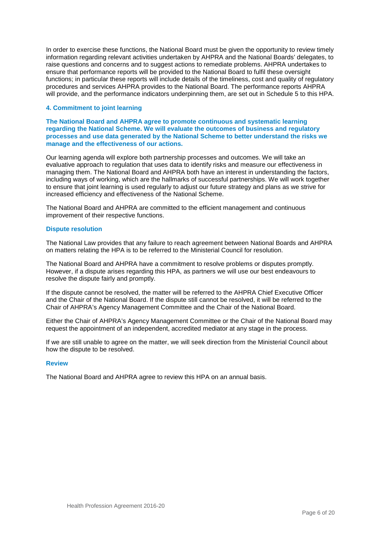In order to exercise these functions, the National Board must be given the opportunity to review timely information regarding relevant activities undertaken by AHPRA and the National Boards' delegates, to raise questions and concerns and to suggest actions to remediate problems. AHPRA undertakes to ensure that performance reports will be provided to the National Board to fulfil these oversight functions; in particular these reports will include details of the timeliness, cost and quality of regulatory procedures and services AHPRA provides to the National Board. The performance reports AHPRA will provide, and the performance indicators underpinning them, are set out in Schedule 5 to this HPA.

#### **4. Commitment to joint learning**

**The National Board and AHPRA agree to promote continuous and systematic learning regarding the National Scheme. We will evaluate the outcomes of business and regulatory processes and use data generated by the National Scheme to better understand the risks we manage and the effectiveness of our actions.** 

Our learning agenda will explore both partnership processes and outcomes. We will take an evaluative approach to regulation that uses data to identify risks and measure our effectiveness in managing them. The National Board and AHPRA both have an interest in understanding the factors, including ways of working, which are the hallmarks of successful partnerships. We will work together to ensure that joint learning is used regularly to adjust our future strategy and plans as we strive for increased efficiency and effectiveness of the National Scheme.

The National Board and AHPRA are committed to the efficient management and continuous improvement of their respective functions.

#### **Dispute resolution**

The National Law provides that any failure to reach agreement between National Boards and AHPRA on matters relating the HPA is to be referred to the Ministerial Council for resolution.

The National Board and AHPRA have a commitment to resolve problems or disputes promptly. However, if a dispute arises regarding this HPA, as partners we will use our best endeavours to resolve the dispute fairly and promptly.

If the dispute cannot be resolved, the matter will be referred to the AHPRA Chief Executive Officer and the Chair of the National Board. If the dispute still cannot be resolved, it will be referred to the Chair of AHPRA's Agency Management Committee and the Chair of the National Board.

Either the Chair of AHPRA's Agency Management Committee or the Chair of the National Board may request the appointment of an independent, accredited mediator at any stage in the process.

If we are still unable to agree on the matter, we will seek direction from the Ministerial Council about how the dispute to be resolved.

#### **Review**

The National Board and AHPRA agree to review this HPA on an annual basis.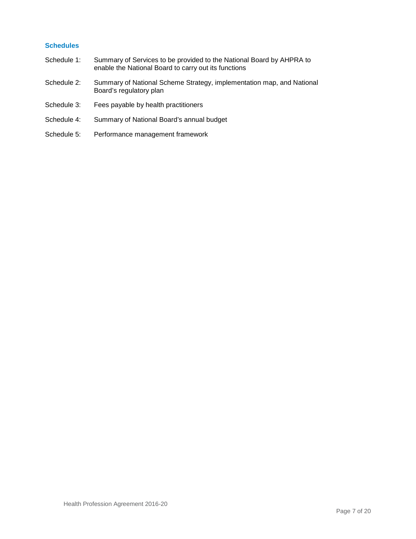### **Schedules**

- Schedule 1: Summary of Services to be provided to the National Board by AHPRA to enable the National Board to carry out its functions
- Schedule 2: Summary of National Scheme Strategy, implementation map, and National Board's regulatory plan
- Schedule 3: Fees payable by health practitioners
- Schedule 4: Summary of National Board's annual budget
- Schedule 5: Performance management framework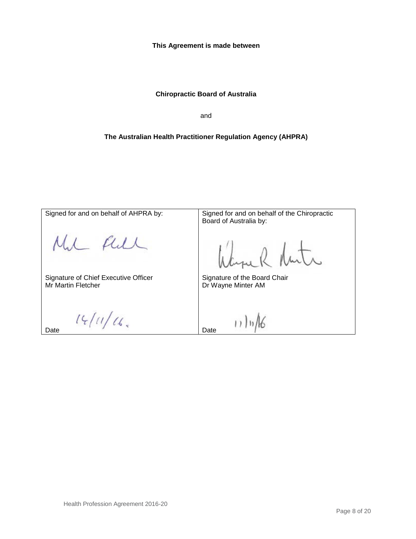**This Agreement is made between**

## **Chiropractic Board of Australia**

and

## **The Australian Health Practitioner Regulation Agency (AHPRA)**

| Signed for and on behalf of AHPRA by:                             | Signed for and on behalf of the Chiropractic<br>Board of Australia by: |
|-------------------------------------------------------------------|------------------------------------------------------------------------|
|                                                                   |                                                                        |
| Signature of Chief Executive Officer<br><b>Mr Martin Fletcher</b> | Signature of the Board Chair<br>Dr Wayne Minter AM                     |
| Date                                                              | Date                                                                   |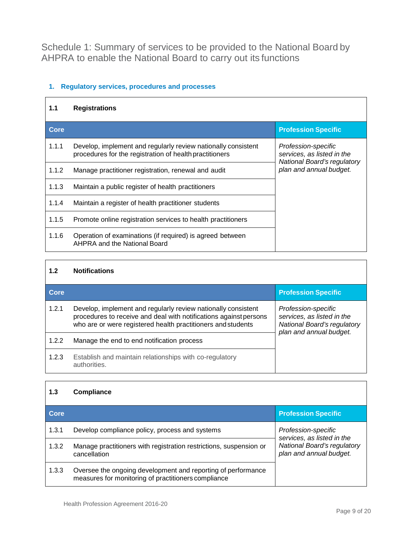Schedule 1: Summary of services to be provided to the National Board by AHPRA to enable the National Board to carry out its functions

## **1. Regulatory services, procedures and processes**

| 1.1   | <b>Registrations</b>                                                                                                     |                                                                                  |
|-------|--------------------------------------------------------------------------------------------------------------------------|----------------------------------------------------------------------------------|
| Core  |                                                                                                                          | <b>Profession Specific</b>                                                       |
| 1.1.1 | Develop, implement and regularly review nationally consistent<br>procedures for the registration of health practitioners | Profession-specific<br>services, as listed in the<br>National Board's regulatory |
| 1.1.2 | Manage practitioner registration, renewal and audit                                                                      | plan and annual budget.                                                          |
| 1.1.3 | Maintain a public register of health practitioners                                                                       |                                                                                  |
| 1.1.4 | Maintain a register of health practitioner students                                                                      |                                                                                  |
| 1.1.5 | Promote online registration services to health practitioners                                                             |                                                                                  |
| 1.1.6 | Operation of examinations (if required) is agreed between<br><b>AHPRA and the National Board</b>                         |                                                                                  |

## **1.2 Notifications**

| Core  |                                                                                                                                                                                                    | <b>Profession Specific</b>                                                                                  |
|-------|----------------------------------------------------------------------------------------------------------------------------------------------------------------------------------------------------|-------------------------------------------------------------------------------------------------------------|
| 1.2.1 | Develop, implement and regularly review nationally consistent<br>procedures to receive and deal with notifications against persons<br>who are or were registered health practitioners and students | Profession-specific<br>services, as listed in the<br>National Board's regulatory<br>plan and annual budget. |
| 1.2.2 | Manage the end to end notification process                                                                                                                                                         |                                                                                                             |
| 1.2.3 | Establish and maintain relationships with co-regulatory<br>authorities.                                                                                                                            |                                                                                                             |

### **1.3 Compliance**

| <b>Core</b> |                                                                                                                     | <b>Profession Specific</b>                                                                                  |
|-------------|---------------------------------------------------------------------------------------------------------------------|-------------------------------------------------------------------------------------------------------------|
| 1.3.1       | Develop compliance policy, process and systems                                                                      | Profession-specific<br>services, as listed in the<br>National Board's regulatory<br>plan and annual budget. |
| 1.3.2       | Manage practitioners with registration restrictions, suspension or<br>cancellation                                  |                                                                                                             |
| 1.3.3       | Oversee the ongoing development and reporting of performance<br>measures for monitoring of practitioners compliance |                                                                                                             |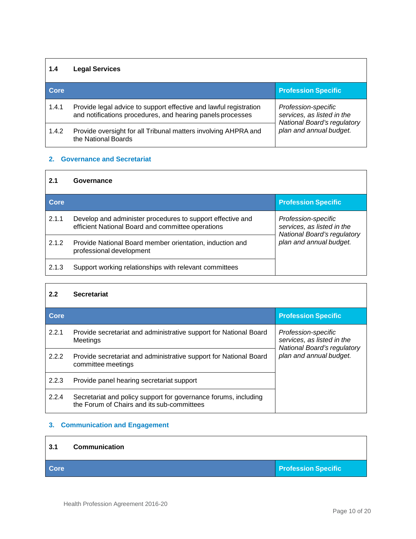## **1.4 Legal Services**

| Core  |                                                                                                                                 | <b>Profession Specific</b>                                                                                         |
|-------|---------------------------------------------------------------------------------------------------------------------------------|--------------------------------------------------------------------------------------------------------------------|
| 1.4.1 | Provide legal advice to support effective and lawful registration<br>and notifications procedures, and hearing panels processes | Profession-specific<br>services, as listed in the<br><b>National Board's regulatory</b><br>plan and annual budget. |
| 1.4.2 | Provide oversight for all Tribunal matters involving AHPRA and<br>the National Boards                                           |                                                                                                                    |

## **2. Governance and Secretariat**

#### **2.1 Governance**

| Core  |                                                                                                                 | <b>Profession Specific</b>                                                                                  |
|-------|-----------------------------------------------------------------------------------------------------------------|-------------------------------------------------------------------------------------------------------------|
| 2.1.1 | Develop and administer procedures to support effective and<br>efficient National Board and committee operations | Profession-specific<br>services, as listed in the<br>National Board's regulatory<br>plan and annual budget. |
| 2.1.2 | Provide National Board member orientation, induction and<br>professional development                            |                                                                                                             |
| 2.1.3 | Support working relationships with relevant committees                                                          |                                                                                                             |

## **2.2 Secretariat**

| Core  |                                                                                                               | <b>Profession Specific</b>                                                                                  |
|-------|---------------------------------------------------------------------------------------------------------------|-------------------------------------------------------------------------------------------------------------|
| 2.2.1 | Provide secretariat and administrative support for National Board<br>Meetings                                 | Profession-specific<br>services, as listed in the<br>National Board's regulatory<br>plan and annual budget. |
| 2.2.2 | Provide secretariat and administrative support for National Board<br>committee meetings                       |                                                                                                             |
| 2.2.3 | Provide panel hearing secretariat support                                                                     |                                                                                                             |
| 2.2.4 | Secretariat and policy support for governance forums, including<br>the Forum of Chairs and its sub-committees |                                                                                                             |

## **3. Communication and Engagement**

| 3.1         | <b>Communication</b> |                            |
|-------------|----------------------|----------------------------|
| <b>Core</b> |                      | <b>Profession Specific</b> |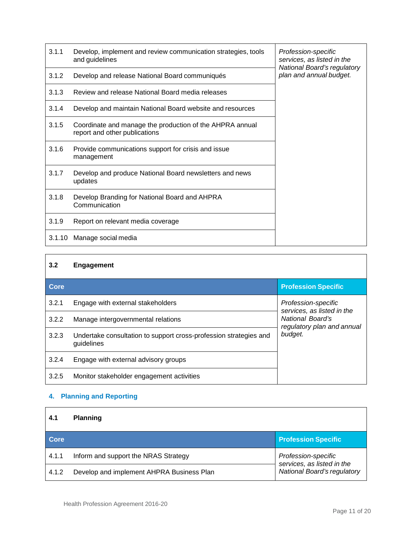| 3.1.1  | Develop, implement and review communication strategies, tools<br>and guidelines           | Profession-specific<br>services, as listed in the<br>National Board's regulatory |
|--------|-------------------------------------------------------------------------------------------|----------------------------------------------------------------------------------|
| 3.1.2  | Develop and release National Board communiqués                                            | plan and annual budget.                                                          |
| 3.1.3  | Review and release National Board media releases                                          |                                                                                  |
| 3.1.4  | Develop and maintain National Board website and resources                                 |                                                                                  |
| 3.1.5  | Coordinate and manage the production of the AHPRA annual<br>report and other publications |                                                                                  |
| 3.1.6  | Provide communications support for crisis and issue<br>management                         |                                                                                  |
| 3.1.7  | Develop and produce National Board newsletters and news<br>updates                        |                                                                                  |
| 3.1.8  | Develop Branding for National Board and AHPRA<br>Communication                            |                                                                                  |
| 3.1.9  | Report on relevant media coverage                                                         |                                                                                  |
| 3.1.10 | Manage social media                                                                       |                                                                                  |

| 3.2         | Engagement                                                                      |                                                   |
|-------------|---------------------------------------------------------------------------------|---------------------------------------------------|
| <b>Core</b> |                                                                                 | <b>Profession Specific</b>                        |
| 3.2.1       | Engage with external stakeholders                                               | Profession-specific<br>services, as listed in the |
| 3.2.2       | Manage intergovernmental relations                                              | National Board's<br>regulatory plan and annual    |
| 3.2.3       | Undertake consultation to support cross-profession strategies and<br>guidelines | budget.                                           |
| 3.2.4       | Engage with external advisory groups                                            |                                                   |
| 3.2.5       | Monitor stakeholder engagement activities                                       |                                                   |

## **4. Planning and Reporting**

| 4.1   | <b>Planning</b>                           |                                                   |
|-------|-------------------------------------------|---------------------------------------------------|
| Core  |                                           | <b>Profession Specific</b>                        |
| 4.1.1 | Inform and support the NRAS Strategy      | Profession-specific<br>services, as listed in the |
| 4.1.2 | Develop and implement AHPRA Business Plan | National Board's regulatory                       |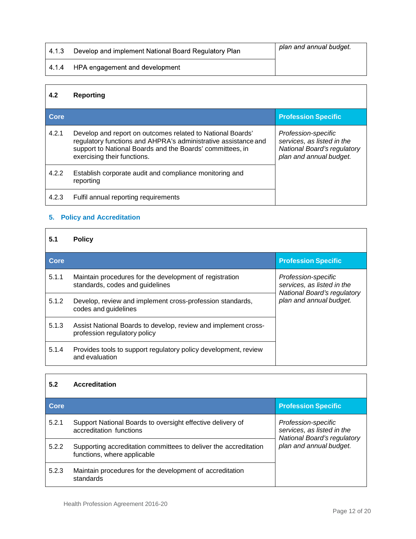| 4.1.3 | Develop and implement National Board Regulatory Plan | plan and annual budget. |
|-------|------------------------------------------------------|-------------------------|
| 4.1.4 | HPA engagement and development                       |                         |

## **4.2 Reporting**

| Core  |                                                                                                                                                                                                                          | <b>Profession Specific</b>                                                                                         |
|-------|--------------------------------------------------------------------------------------------------------------------------------------------------------------------------------------------------------------------------|--------------------------------------------------------------------------------------------------------------------|
| 4.2.1 | Develop and report on outcomes related to National Boards'<br>regulatory functions and AHPRA's administrative assistance and<br>support to National Boards and the Boards' committees, in<br>exercising their functions. | Profession-specific<br>services, as listed in the<br><b>National Board's regulatory</b><br>plan and annual budget. |
| 4.2.2 | Establish corporate audit and compliance monitoring and<br>reporting                                                                                                                                                     |                                                                                                                    |
| 4.2.3 | Fulfil annual reporting requirements                                                                                                                                                                                     |                                                                                                                    |

## **5. Policy and Accreditation**

## **5.1 Policy**

| Core  |                                                                                                | <b>Profession Specific</b>                                                       |
|-------|------------------------------------------------------------------------------------------------|----------------------------------------------------------------------------------|
| 5.1.1 | Maintain procedures for the development of registration<br>standards, codes and guidelines     | Profession-specific<br>services, as listed in the<br>National Board's regulatory |
| 5.1.2 | Develop, review and implement cross-profession standards,<br>codes and guidelines              | plan and annual budget.                                                          |
| 5.1.3 | Assist National Boards to develop, review and implement cross-<br>profession regulatory policy |                                                                                  |
| 5.1.4 | Provides tools to support regulatory policy development, review<br>and evaluation              |                                                                                  |

## **5.2 Accreditation**

| Core  |                                                                                                 | <b>Profession Specific</b>                                                              |
|-------|-------------------------------------------------------------------------------------------------|-----------------------------------------------------------------------------------------|
| 5.2.1 | Support National Boards to oversight effective delivery of<br>accreditation functions           | Profession-specific<br>services, as listed in the<br><b>National Board's regulatory</b> |
| 5.2.2 | Supporting accreditation committees to deliver the accreditation<br>functions, where applicable | plan and annual budget.                                                                 |
| 5.2.3 | Maintain procedures for the development of accreditation<br>standards                           |                                                                                         |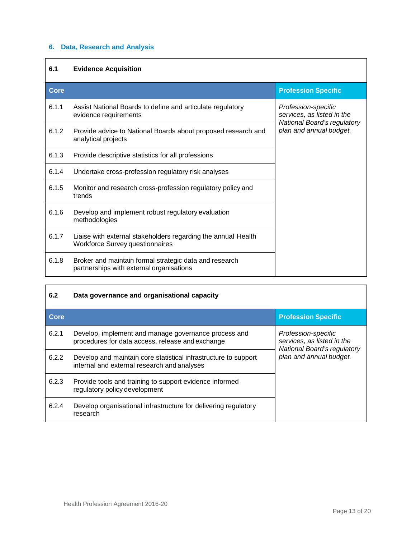## **6. Data, Research and Analysis**

## **6.1 Evidence Acquisition**

| <b>Core</b> |                                                                                                         | <b>Profession Specific</b>                                                       |
|-------------|---------------------------------------------------------------------------------------------------------|----------------------------------------------------------------------------------|
| 6.1.1       | Assist National Boards to define and articulate regulatory<br>evidence requirements                     | Profession-specific<br>services, as listed in the<br>National Board's regulatory |
| 6.1.2       | Provide advice to National Boards about proposed research and<br>analytical projects                    | plan and annual budget.                                                          |
| 6.1.3       | Provide descriptive statistics for all professions                                                      |                                                                                  |
| 6.1.4       | Undertake cross-profession regulatory risk analyses                                                     |                                                                                  |
| 6.1.5       | Monitor and research cross-profession regulatory policy and<br>trends                                   |                                                                                  |
| 6.1.6       | Develop and implement robust regulatory evaluation<br>methodologies                                     |                                                                                  |
| 6.1.7       | Liaise with external stakeholders regarding the annual Health<br><b>Workforce Survey questionnaires</b> |                                                                                  |
| 6.1.8       | Broker and maintain formal strategic data and research<br>partnerships with external organisations      |                                                                                  |

| 6.2         | Data governance and organisational capacity                                                                    |                                                                                  |
|-------------|----------------------------------------------------------------------------------------------------------------|----------------------------------------------------------------------------------|
| <b>Core</b> |                                                                                                                | <b>Profession Specific</b>                                                       |
| 6.2.1       | Develop, implement and manage governance process and<br>procedures for data access, release and exchange       | Profession-specific<br>services, as listed in the<br>National Board's regulatory |
| 6.2.2       | Develop and maintain core statistical infrastructure to support<br>internal and external research and analyses | plan and annual budget.                                                          |
| 6.2.3       | Provide tools and training to support evidence informed<br>regulatory policy development                       |                                                                                  |
| 6.2.4       | Develop organisational infrastructure for delivering regulatory<br>research                                    |                                                                                  |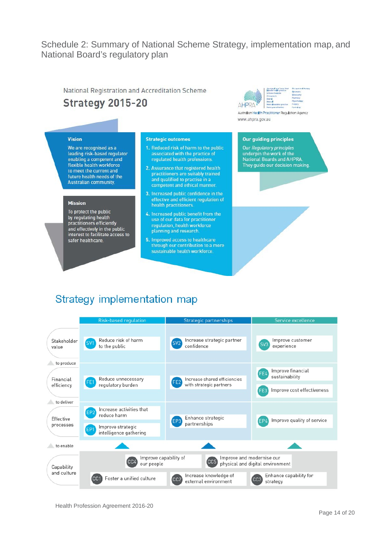## Schedule 2: Summary of National Scheme Strategy, implementation map, and National Board's regulatory plan

National Registration and Accreditation Scheme **Strategy 2015-20** 



Australian Health Practitioner Regulation Agency www.ahpra.gov.au

## **Vision**

We are recognised as a leading risk-based regulator enabling a competent and flexible health workforce to meet the current and future health needs of the Australian community.

#### **Mission**

To protect the public by regulating health practitioners efficiently and effectively in the public<br>interest to facilitate access to safer healthcare.

#### **Strategic outcomes**

- 1. Reduced risk of harm to the public associated with the practice of regulated health professions.
- 2. Assurance that registered health practitioners are suitably trained and qualified to practise in a competent and ethical manner
- 3. Increased public confidence in the effective and efficient regulation of health practitioners.
- 4. Increased public benefit from the use of our data for practitioner regulation, health workforce planning and research.
- 5. Improved access to healthcare through our contribution to a more sustainable health workforce.

#### **Our guiding principles**

Our Regulatory principles<br>underpin the work of the National Boards and AHPRA. They guide our decision making.

## Strategy implementation map

|                      | <b>Risk-based regulation</b>                                   | <b>Strategic partnerships</b>                                              | Service excellence                                |
|----------------------|----------------------------------------------------------------|----------------------------------------------------------------------------|---------------------------------------------------|
|                      |                                                                |                                                                            |                                                   |
| Stakeholder<br>value | Reduce risk of harm<br>SV <sub>1</sub><br>to the public        | Increase strategic partner<br>SV <sub>2</sub><br>confidence                | Improve customer<br>SV <sub>3</sub><br>experience |
|                      |                                                                |                                                                            |                                                   |
| to produce           |                                                                |                                                                            | Improve financial<br>FE4                          |
| Financial            | Reduce unnecessary<br>regulatory burden                        | Increase shared efficiencies<br>FF <sub>2</sub><br>with strategic partners | sustainability                                    |
| efficiency           |                                                                |                                                                            | Improve cost effectiveness                        |
| to deliver           |                                                                |                                                                            |                                                   |
| Effective            | Increase activities that<br>reduce harm                        | Enhance strategic<br>EP3                                                   | Improve quality of service                        |
| processes            | Improve strategic<br>EP <sub>1</sub><br>intelligence gathering | partnerships                                                               |                                                   |
| to enable            |                                                                |                                                                            |                                                   |
| Capability           | Improve capability of<br>CC4<br>our people                     | Improve and modernise our<br>CC5                                           | physical and digital environment                  |
| and culture          | Foster a unified culture                                       | Increase knowledge of<br>CC <sub>2</sub><br>external environment           | Enhance capability for<br>CC3<br>strategy         |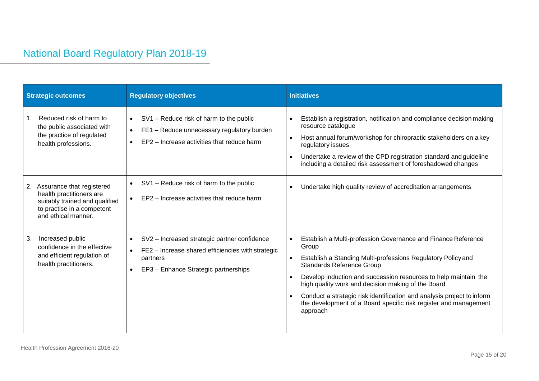# National Board Regulatory Plan 2018-19

| <b>Strategic outcomes</b>                                                                                                                          | <b>Regulatory objectives</b>                                                                                                                          | <b>Initiatives</b>                                                                                                                                                                                                                                                                                                                                                                                                                                     |  |  |  |
|----------------------------------------------------------------------------------------------------------------------------------------------------|-------------------------------------------------------------------------------------------------------------------------------------------------------|--------------------------------------------------------------------------------------------------------------------------------------------------------------------------------------------------------------------------------------------------------------------------------------------------------------------------------------------------------------------------------------------------------------------------------------------------------|--|--|--|
| Reduced risk of harm to<br>$\mathbf{1}$ .<br>the public associated with<br>the practice of regulated<br>health professions.                        | SV1 - Reduce risk of harm to the public<br>$\bullet$<br>FE1 - Reduce unnecessary regulatory burden<br>EP2 - Increase activities that reduce harm      | Establish a registration, notification and compliance decision making<br>resource catalogue<br>Host annual forum/workshop for chiropractic stakeholders on a key<br>regulatory issues<br>Undertake a review of the CPD registration standard and guideline<br>including a detailed risk assessment of foreshadowed changes                                                                                                                             |  |  |  |
| Assurance that registered<br>2.<br>health practitioners are<br>suitably trained and qualified<br>to practise in a competent<br>and ethical manner. | SV1 - Reduce risk of harm to the public<br>EP2 - Increase activities that reduce harm                                                                 | Undertake high quality review of accreditation arrangements                                                                                                                                                                                                                                                                                                                                                                                            |  |  |  |
| Increased public<br>3.<br>confidence in the effective<br>and efficient regulation of<br>health practitioners.                                      | SV2 - Increased strategic partner confidence<br>FE2 - Increase shared efficiencies with strategic<br>partners<br>EP3 - Enhance Strategic partnerships | Establish a Multi-profession Governance and Finance Reference<br>Group<br>Establish a Standing Multi-professions Regulatory Policy and<br>Standards Reference Group<br>Develop induction and succession resources to help maintain the<br>high quality work and decision making of the Board<br>Conduct a strategic risk identification and analysis project to inform<br>the development of a Board specific risk register and management<br>approach |  |  |  |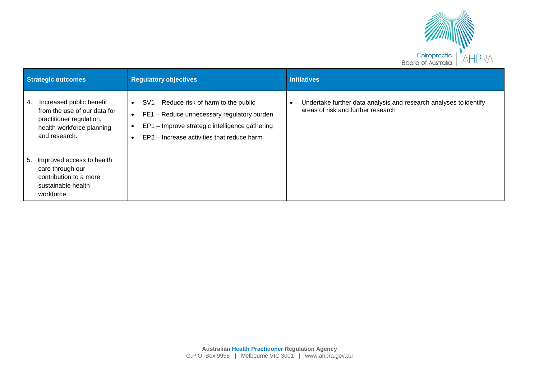

| <b>Strategic outcomes</b> |                                                                                                                   | <b>Regulatory objectives</b>                                                                                                                                                                       | <b>Initiatives</b>                                                                                                   |  |  |  |
|---------------------------|-------------------------------------------------------------------------------------------------------------------|----------------------------------------------------------------------------------------------------------------------------------------------------------------------------------------------------|----------------------------------------------------------------------------------------------------------------------|--|--|--|
| 4.<br>and research.       | Increased public benefit<br>from the use of our data for<br>practitioner regulation,<br>health workforce planning | SV1 – Reduce risk of harm to the public<br>$\bullet$<br>FE1 - Reduce unnecessary regulatory burden<br>EP1 - Improve strategic intelligence gathering<br>EP2 - Increase activities that reduce harm | Undertake further data analysis and research analyses to identify<br>$\bullet$<br>areas of risk and further research |  |  |  |
| 5.<br>workforce.          | Improved access to health<br>care through our<br>contribution to a more<br>sustainable health                     |                                                                                                                                                                                                    |                                                                                                                      |  |  |  |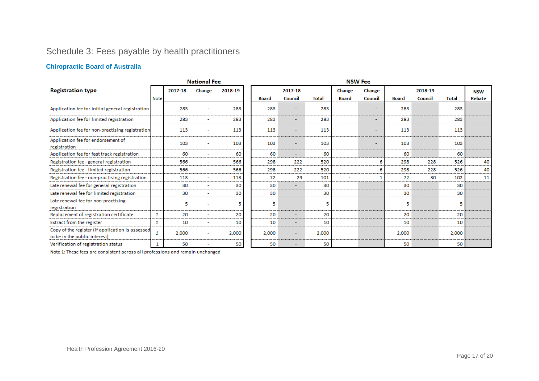# Schedule 3: Fees payable by health practitioners

## **Chiropractic Board of Australia**

| <b>National Fee</b>                                                               |             |         |        |         |              |                          |              | <b>NSW Fee</b>           |                          |              |         |              |            |
|-----------------------------------------------------------------------------------|-------------|---------|--------|---------|--------------|--------------------------|--------------|--------------------------|--------------------------|--------------|---------|--------------|------------|
| <b>Registration type</b>                                                          |             | 2017-18 | Change | 2018-19 |              | 2017-18                  |              | Change                   | Change                   |              | 2018-19 |              | <b>NSW</b> |
|                                                                                   | <b>Note</b> |         |        |         | <b>Board</b> | Council                  | <b>Total</b> | <b>Board</b>             | Council                  | <b>Board</b> | Council | <b>Total</b> | Rebate     |
| Application fee for initial general registration                                  |             | 283     |        | 283     | 283          | $\overline{\phantom{0}}$ | 283          |                          | $\overline{\phantom{0}}$ | 283          |         | 283          |            |
| Application fee for limited registration                                          |             | 283     | $\sim$ | 283     | 283          | $\overline{\phantom{a}}$ | 283          |                          | $\overline{\phantom{a}}$ | 283          |         | 283          |            |
| Application fee for non-practising registration                                   |             | 113     |        | 113     | 113          | $\overline{\phantom{a}}$ | 113          |                          | ۰                        | 113          |         | 113          |            |
| Application fee for endorsement of<br>registration                                |             | 103     | ٠      | 103     | 103          | $\blacksquare$           | 103          |                          | $\overline{a}$           | 103          |         | 103          |            |
| Application fee for fast track registration                                       |             | 60      | ٠      | 60      | 60           | $\overline{\phantom{a}}$ | 60           |                          |                          | 60           |         | 60           |            |
| Registration fee - general registration                                           |             | 566     | $\sim$ | 566     | 298          | 222                      | 520          | $\overline{\phantom{a}}$ | 6                        | 298          | 228     | 526          | 40         |
| Registration fee - limited registration                                           |             | 566     | $\sim$ | 566     | 298          | 222                      | 520          | $\overline{\phantom{a}}$ | 6                        | 298          | 228     | 526          | 40         |
| Registration fee - non-practising registration                                    |             | 113     | ٠      | 113     | 72           | 29                       | 101          | ٠                        |                          | 72           | 30      | 102          | 11         |
| Late renewal fee for general registration                                         |             | 30      | ٠      | 30      | 30           | ÷                        | 30           |                          |                          | 30           |         | 30           |            |
| Late renewal fee for limited registration                                         |             | 30      | ٠      | 30      | 30           |                          | 30           |                          |                          | 30           |         | 30           |            |
| Late renewal fee for non-practising<br>registration                               |             | 5       |        | 5       | 5            |                          | 5            |                          |                          | 5            |         | 5            |            |
| Replacement of registration certificate                                           | 1           | 20      | ۰      | 20      | 20           | $\overline{\phantom{a}}$ | 20           |                          |                          | 20           |         | 20           |            |
| <b>Extract from the register</b>                                                  | 1           | 10      | ٠      | 10      | 10           | $\overline{\phantom{a}}$ | 10           |                          |                          | 10           |         | 10           |            |
| Copy of the register (if application is assessed<br>to be in the public interest) | 1           | 2,000   | ٠      | 2,000   | 2,000        | $\overline{\phantom{a}}$ | 2,000        |                          |                          | 2,000        |         | 2,000        |            |
| Verification of registration status                                               | 1           | 50      |        | 50      | 50           |                          | 50           |                          |                          | 50           |         | 50           |            |

Note 1: These fees are consistent across all professions and remain unchanged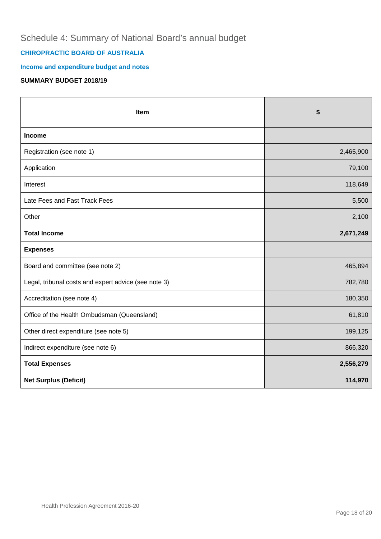## Schedule 4: Summary of National Board's annual budget

## **CHIROPRACTIC BOARD OF AUSTRALIA**

## **Income and expenditure budget and notes**

## **SUMMARY BUDGET 2018/19**

| Item                                                 | \$        |
|------------------------------------------------------|-----------|
| Income                                               |           |
| Registration (see note 1)                            | 2,465,900 |
| Application                                          | 79,100    |
| Interest                                             | 118,649   |
| Late Fees and Fast Track Fees                        | 5,500     |
| Other                                                | 2,100     |
| <b>Total Income</b>                                  | 2,671,249 |
| <b>Expenses</b>                                      |           |
| Board and committee (see note 2)                     | 465,894   |
| Legal, tribunal costs and expert advice (see note 3) | 782,780   |
| Accreditation (see note 4)                           | 180,350   |
| Office of the Health Ombudsman (Queensland)          | 61,810    |
| Other direct expenditure (see note 5)                | 199,125   |
| Indirect expenditure (see note 6)                    | 866,320   |
| <b>Total Expenses</b>                                | 2,556,279 |
| <b>Net Surplus (Deficit)</b>                         | 114,970   |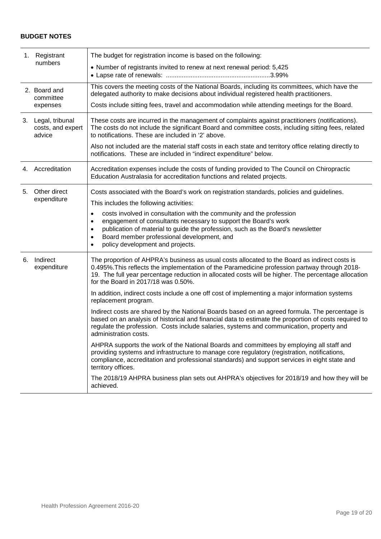## **BUDGET NOTES**

|    | 1. Registrant<br>numbers                          | The budget for registration income is based on the following:<br>• Number of registrants invited to renew at next renewal period: 5,425                                                                                                                                                                                                                                                                                                                                                                                                                                                                                                                                                                                                                                                                                                                                                                                                                                                                                                                                                                                                                                                                                                |
|----|---------------------------------------------------|----------------------------------------------------------------------------------------------------------------------------------------------------------------------------------------------------------------------------------------------------------------------------------------------------------------------------------------------------------------------------------------------------------------------------------------------------------------------------------------------------------------------------------------------------------------------------------------------------------------------------------------------------------------------------------------------------------------------------------------------------------------------------------------------------------------------------------------------------------------------------------------------------------------------------------------------------------------------------------------------------------------------------------------------------------------------------------------------------------------------------------------------------------------------------------------------------------------------------------------|
|    | 2. Board and<br>committee<br>expenses             | This covers the meeting costs of the National Boards, including its committees, which have the<br>delegated authority to make decisions about individual registered health practitioners.<br>Costs include sitting fees, travel and accommodation while attending meetings for the Board.                                                                                                                                                                                                                                                                                                                                                                                                                                                                                                                                                                                                                                                                                                                                                                                                                                                                                                                                              |
|    | 3. Legal, tribunal<br>costs, and expert<br>advice | These costs are incurred in the management of complaints against practitioners (notifications).<br>The costs do not include the significant Board and committee costs, including sitting fees, related<br>to notifications. These are included in '2' above.<br>Also not included are the material staff costs in each state and territory office relating directly to                                                                                                                                                                                                                                                                                                                                                                                                                                                                                                                                                                                                                                                                                                                                                                                                                                                                 |
|    |                                                   | notifications. These are included in "indirect expenditure" below.                                                                                                                                                                                                                                                                                                                                                                                                                                                                                                                                                                                                                                                                                                                                                                                                                                                                                                                                                                                                                                                                                                                                                                     |
| 4. | Accreditation                                     | Accreditation expenses include the costs of funding provided to The Council on Chiropractic<br>Education Australasia for accreditation functions and related projects.                                                                                                                                                                                                                                                                                                                                                                                                                                                                                                                                                                                                                                                                                                                                                                                                                                                                                                                                                                                                                                                                 |
| 5. | Other direct<br>expenditure                       | Costs associated with the Board's work on registration standards, policies and guidelines.<br>This includes the following activities:<br>costs involved in consultation with the community and the profession<br>$\bullet$<br>engagement of consultants necessary to support the Board's work<br>٠<br>publication of material to guide the profession, such as the Board's newsletter<br>٠<br>Board member professional development, and<br>٠<br>policy development and projects.                                                                                                                                                                                                                                                                                                                                                                                                                                                                                                                                                                                                                                                                                                                                                      |
|    | 6. Indirect<br>expenditure                        | The proportion of AHPRA's business as usual costs allocated to the Board as indirect costs is<br>0.495%. This reflects the implementation of the Paramedicine profession partway through 2018-<br>19. The full year percentage reduction in allocated costs will be higher. The percentage allocation<br>for the Board in 2017/18 was 0.50%.<br>In addition, indirect costs include a one off cost of implementing a major information systems<br>replacement program.<br>Indirect costs are shared by the National Boards based on an agreed formula. The percentage is<br>based on an analysis of historical and financial data to estimate the proportion of costs required to<br>regulate the profession. Costs include salaries, systems and communication, property and<br>administration costs.<br>AHPRA supports the work of the National Boards and committees by employing all staff and<br>providing systems and infrastructure to manage core regulatory (registration, notifications,<br>compliance, accreditation and professional standards) and support services in eight state and<br>territory offices.<br>The 2018/19 AHPRA business plan sets out AHPRA's objectives for 2018/19 and how they will be<br>achieved. |